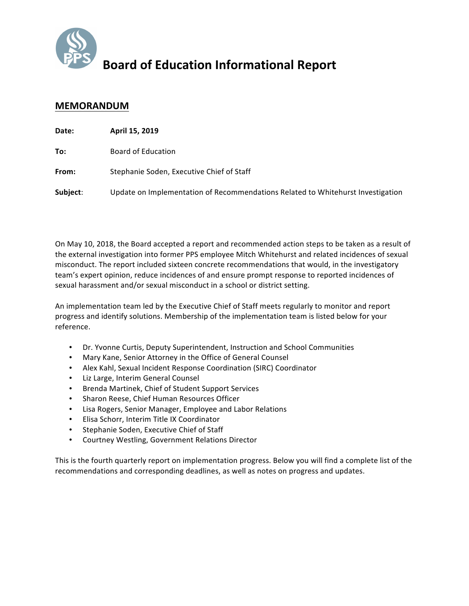

## **Board of Education Informational Report**

## **MEMORANDUM**

| Date:    | April 15, 2019                                                                  |
|----------|---------------------------------------------------------------------------------|
| To:      | <b>Board of Education</b>                                                       |
| From:    | Stephanie Soden, Executive Chief of Staff                                       |
| Subject: | Update on Implementation of Recommendations Related to Whitehurst Investigation |

On May 10, 2018, the Board accepted a report and recommended action steps to be taken as a result of the external investigation into former PPS employee Mitch Whitehurst and related incidences of sexual misconduct. The report included sixteen concrete recommendations that would, in the investigatory team's expert opinion, reduce incidences of and ensure prompt response to reported incidences of sexual harassment and/or sexual misconduct in a school or district setting.

An implementation team led by the Executive Chief of Staff meets regularly to monitor and report progress and identify solutions. Membership of the implementation team is listed below for your reference.

- Dr. Yvonne Curtis, Deputy Superintendent, Instruction and School Communities
- Mary Kane, Senior Attorney in the Office of General Counsel
- Alex Kahl, Sexual Incident Response Coordination (SIRC) Coordinator
- Liz Large, Interim General Counsel
- Brenda Martinek, Chief of Student Support Services
- Sharon Reese, Chief Human Resources Officer
- Lisa Rogers, Senior Manager, Employee and Labor Relations
- Elisa Schorr, Interim Title IX Coordinator
- Stephanie Soden, Executive Chief of Staff
- Courtney Westling, Government Relations Director

This is the fourth quarterly report on implementation progress. Below you will find a complete list of the recommendations and corresponding deadlines, as well as notes on progress and updates.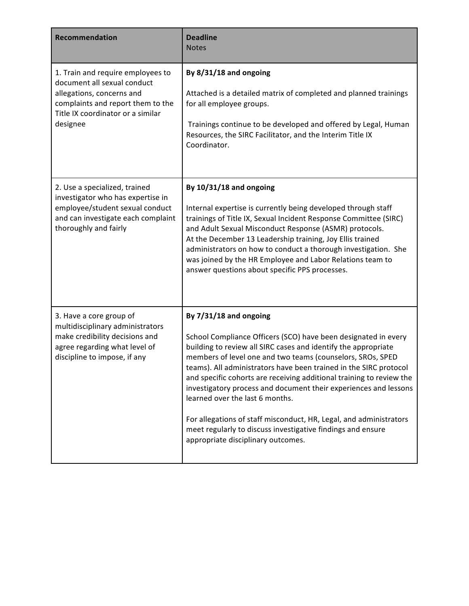| <b>Recommendation</b>                                                                                                                                                               | <b>Deadline</b><br><b>Notes</b>                                                                                                                                                                                                                                                                                                                                                                                                                                                                                                                                                                                                                         |
|-------------------------------------------------------------------------------------------------------------------------------------------------------------------------------------|---------------------------------------------------------------------------------------------------------------------------------------------------------------------------------------------------------------------------------------------------------------------------------------------------------------------------------------------------------------------------------------------------------------------------------------------------------------------------------------------------------------------------------------------------------------------------------------------------------------------------------------------------------|
| 1. Train and require employees to<br>document all sexual conduct<br>allegations, concerns and<br>complaints and report them to the<br>Title IX coordinator or a similar<br>designee | By 8/31/18 and ongoing<br>Attached is a detailed matrix of completed and planned trainings<br>for all employee groups.<br>Trainings continue to be developed and offered by Legal, Human<br>Resources, the SIRC Facilitator, and the Interim Title IX<br>Coordinator.                                                                                                                                                                                                                                                                                                                                                                                   |
| 2. Use a specialized, trained<br>investigator who has expertise in<br>employee/student sexual conduct<br>and can investigate each complaint<br>thoroughly and fairly                | By 10/31/18 and ongoing<br>Internal expertise is currently being developed through staff<br>trainings of Title IX, Sexual Incident Response Committee (SIRC)<br>and Adult Sexual Misconduct Response (ASMR) protocols.<br>At the December 13 Leadership training, Joy Ellis trained<br>administrators on how to conduct a thorough investigation. She<br>was joined by the HR Employee and Labor Relations team to<br>answer questions about specific PPS processes.                                                                                                                                                                                    |
| 3. Have a core group of<br>multidisciplinary administrators<br>make credibility decisions and<br>agree regarding what level of<br>discipline to impose, if any                      | By 7/31/18 and ongoing<br>School Compliance Officers (SCO) have been designated in every<br>building to review all SIRC cases and identify the appropriate<br>members of level one and two teams (counselors, SROs, SPED<br>teams). All administrators have been trained in the SIRC protocol<br>and specific cohorts are receiving additional training to review the<br>investigatory process and document their experiences and lessons<br>learned over the last 6 months.<br>For allegations of staff misconduct, HR, Legal, and administrators<br>meet regularly to discuss investigative findings and ensure<br>appropriate disciplinary outcomes. |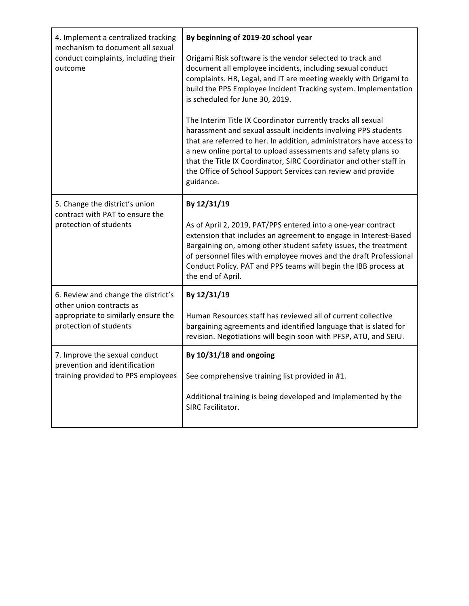| 4. Implement a centralized tracking<br>mechanism to document all sexual | By beginning of 2019-20 school year                                                                                                                                                                                                                                                                                                                                                                                        |
|-------------------------------------------------------------------------|----------------------------------------------------------------------------------------------------------------------------------------------------------------------------------------------------------------------------------------------------------------------------------------------------------------------------------------------------------------------------------------------------------------------------|
| conduct complaints, including their<br>outcome                          | Origami Risk software is the vendor selected to track and<br>document all employee incidents, including sexual conduct<br>complaints. HR, Legal, and IT are meeting weekly with Origami to<br>build the PPS Employee Incident Tracking system. Implementation<br>is scheduled for June 30, 2019.                                                                                                                           |
|                                                                         | The Interim Title IX Coordinator currently tracks all sexual<br>harassment and sexual assault incidents involving PPS students<br>that are referred to her. In addition, administrators have access to<br>a new online portal to upload assessments and safety plans so<br>that the Title IX Coordinator, SIRC Coordinator and other staff in<br>the Office of School Support Services can review and provide<br>guidance. |
| 5. Change the district's union<br>contract with PAT to ensure the       | By 12/31/19                                                                                                                                                                                                                                                                                                                                                                                                                |
| protection of students                                                  | As of April 2, 2019, PAT/PPS entered into a one-year contract<br>extension that includes an agreement to engage in Interest-Based<br>Bargaining on, among other student safety issues, the treatment<br>of personnel files with employee moves and the draft Professional<br>Conduct Policy. PAT and PPS teams will begin the IBB process at<br>the end of April.                                                          |
| 6. Review and change the district's<br>other union contracts as         | By 12/31/19                                                                                                                                                                                                                                                                                                                                                                                                                |
| appropriate to similarly ensure the<br>protection of students           | Human Resources staff has reviewed all of current collective<br>bargaining agreements and identified language that is slated for<br>revision. Negotiations will begin soon with PFSP, ATU, and SEIU.                                                                                                                                                                                                                       |
| 7. Improve the sexual conduct<br>prevention and identification          | By 10/31/18 and ongoing                                                                                                                                                                                                                                                                                                                                                                                                    |
| training provided to PPS employees                                      | See comprehensive training list provided in #1.                                                                                                                                                                                                                                                                                                                                                                            |
|                                                                         | Additional training is being developed and implemented by the<br>SIRC Facilitator.                                                                                                                                                                                                                                                                                                                                         |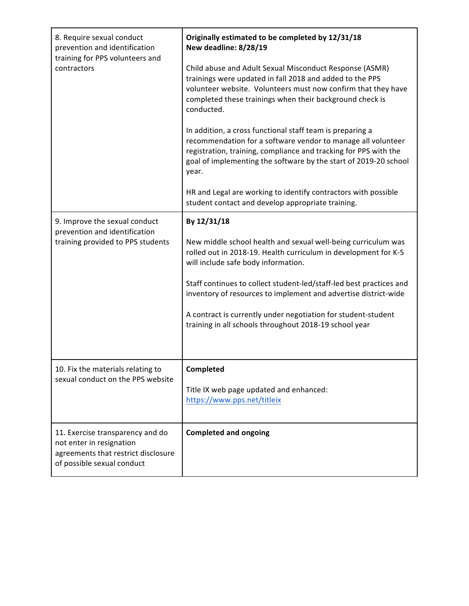| 8. Require sexual conduct<br>prevention and identification<br>training for PPS volunteers and<br>contractors                      | Originally estimated to be completed by 12/31/18<br>New deadline: 8/28/19<br>Child abuse and Adult Sexual Misconduct Response (ASMR)<br>trainings were updated in fall 2018 and added to the PPS<br>volunteer website. Volunteers must now confirm that they have<br>completed these trainings when their background check is<br>conducted.<br>In addition, a cross functional staff team is preparing a<br>recommendation for a software vendor to manage all volunteer<br>registration, training, compliance and tracking for PPS with the<br>goal of implementing the software by the start of 2019-20 school<br>year.<br>HR and Legal are working to identify contractors with possible<br>student contact and develop appropriate training. |
|-----------------------------------------------------------------------------------------------------------------------------------|--------------------------------------------------------------------------------------------------------------------------------------------------------------------------------------------------------------------------------------------------------------------------------------------------------------------------------------------------------------------------------------------------------------------------------------------------------------------------------------------------------------------------------------------------------------------------------------------------------------------------------------------------------------------------------------------------------------------------------------------------|
| 9. Improve the sexual conduct<br>prevention and identification<br>training provided to PPS students                               | By 12/31/18<br>New middle school health and sexual well-being curriculum was<br>rolled out in 2018-19. Health curriculum in development for K-5<br>will include safe body information.<br>Staff continues to collect student-led/staff-led best practices and<br>inventory of resources to implement and advertise district-wide<br>A contract is currently under negotiation for student-student<br>training in all schools throughout 2018-19 school year                                                                                                                                                                                                                                                                                      |
| 10. Fix the materials relating to<br>sexual conduct on the PPS website                                                            | Completed<br>Title IX web page updated and enhanced:<br>https://www.pps.net/titleix                                                                                                                                                                                                                                                                                                                                                                                                                                                                                                                                                                                                                                                              |
| 11. Exercise transparency and do<br>not enter in resignation<br>agreements that restrict disclosure<br>of possible sexual conduct | <b>Completed and ongoing</b>                                                                                                                                                                                                                                                                                                                                                                                                                                                                                                                                                                                                                                                                                                                     |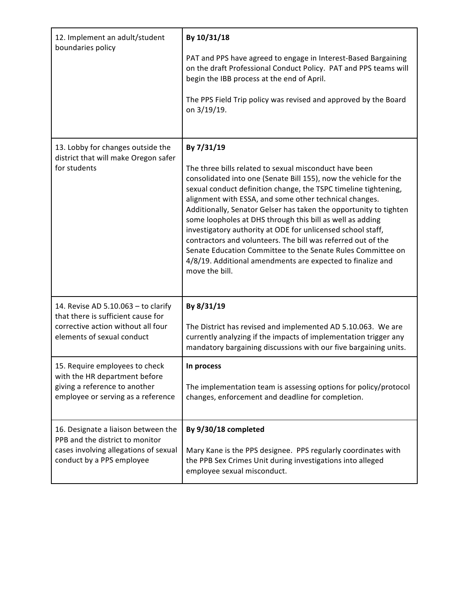| 12. Implement an adult/student<br>boundaries policy                                                                                           | By 10/31/18<br>PAT and PPS have agreed to engage in Interest-Based Bargaining<br>on the draft Professional Conduct Policy. PAT and PPS teams will<br>begin the IBB process at the end of April.<br>The PPS Field Trip policy was revised and approved by the Board<br>on 3/19/19.                                                                                                                                                                                                                                                                                                                                                                                                     |
|-----------------------------------------------------------------------------------------------------------------------------------------------|---------------------------------------------------------------------------------------------------------------------------------------------------------------------------------------------------------------------------------------------------------------------------------------------------------------------------------------------------------------------------------------------------------------------------------------------------------------------------------------------------------------------------------------------------------------------------------------------------------------------------------------------------------------------------------------|
| 13. Lobby for changes outside the<br>district that will make Oregon safer<br>for students                                                     | By 7/31/19<br>The three bills related to sexual misconduct have been<br>consolidated into one (Senate Bill 155), now the vehicle for the<br>sexual conduct definition change, the TSPC timeline tightening,<br>alignment with ESSA, and some other technical changes.<br>Additionally, Senator Gelser has taken the opportunity to tighten<br>some loopholes at DHS through this bill as well as adding<br>investigatory authority at ODE for unlicensed school staff,<br>contractors and volunteers. The bill was referred out of the<br>Senate Education Committee to the Senate Rules Committee on<br>4/8/19. Additional amendments are expected to finalize and<br>move the bill. |
| 14. Revise AD 5.10.063 - to clarify<br>that there is sufficient cause for<br>corrective action without all four<br>elements of sexual conduct | By 8/31/19<br>The District has revised and implemented AD 5.10.063. We are<br>currently analyzing if the impacts of implementation trigger any<br>mandatory bargaining discussions with our five bargaining units.                                                                                                                                                                                                                                                                                                                                                                                                                                                                    |
| 15. Require employees to check<br>with the HR department before<br>giving a reference to another<br>employee or serving as a reference        | In process<br>The implementation team is assessing options for policy/protocol<br>changes, enforcement and deadline for completion.                                                                                                                                                                                                                                                                                                                                                                                                                                                                                                                                                   |
| 16. Designate a liaison between the<br>PPB and the district to monitor<br>cases involving allegations of sexual<br>conduct by a PPS employee  | By 9/30/18 completed<br>Mary Kane is the PPS designee. PPS regularly coordinates with<br>the PPB Sex Crimes Unit during investigations into alleged<br>employee sexual misconduct.                                                                                                                                                                                                                                                                                                                                                                                                                                                                                                    |